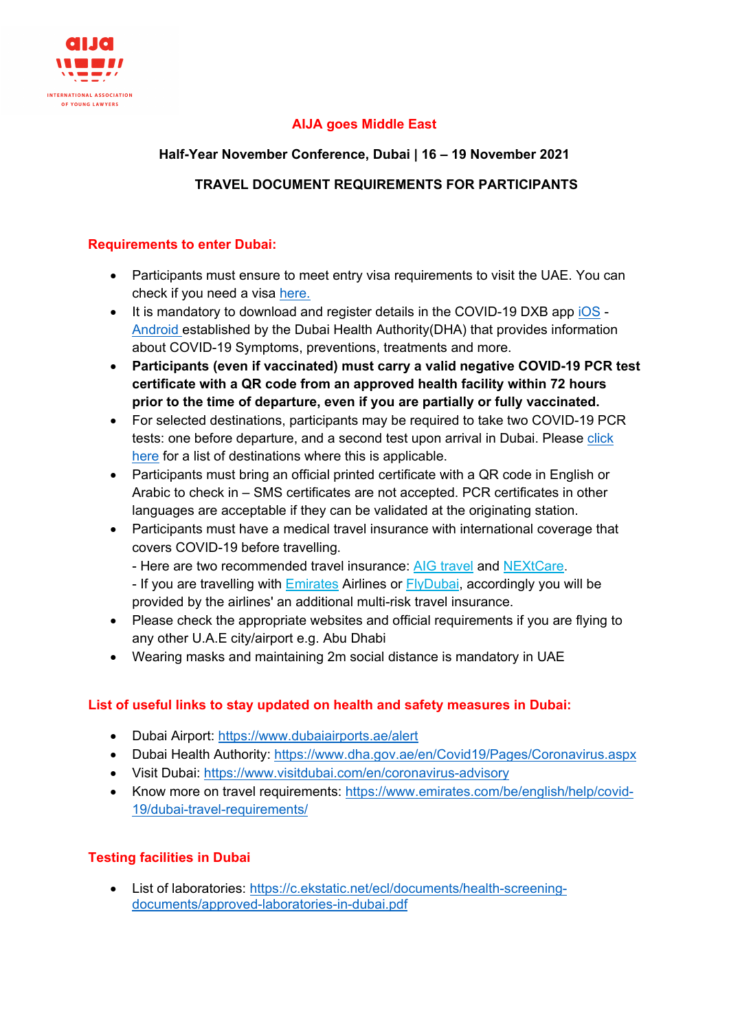

# **AIJA goes Middle East**

### **Half-Year November Conference, Dubai | 16 – 19 November 2021**

### **TRAVEL DOCUMENT REQUIREMENTS FOR PARTICIPANTS**

### **Requirements to enter Dubai:**

- Participants must ensure to meet entry visa requirements to visit the UAE. You can check if you need a visa [here.](https://www.visitdubai.com/en/plan-your-trip/visa-information)
- It is mandatory to download and register details in the COVID-19 DXB app [iOS](https://apps.apple.com/app/covid19-dxb-smart-app/id1504818399) -[Android](https://play.google.com/store/apps/details?id=ae.gov.dha.covid19) established by the Dubai Health Authority(DHA) that provides information about COVID-19 Symptoms, preventions, treatments and more.
- **Participants (even if vaccinated) must carry a valid negative COVID-19 PCR test certificate with a QR code from an approved health facility within 72 hours prior to the time of departure, even if you are partially or fully vaccinated.**
- For selected destinations, participants may be required to take two COVID-19 PCR tests: one before departure, and a second test upon arrival in Dubai. Please [click](https://www.emirates.com/ae/english/help/covid-19/dubai-travel-requirements/tourists/)  [here](https://www.emirates.com/ae/english/help/covid-19/dubai-travel-requirements/tourists/) for a list of destinations where this is applicable.
- Participants must bring an official printed certificate with a QR code in English or Arabic to check in – SMS certificates are not accepted. PCR certificates in other languages are acceptable if they can be validated at the originating station.
- Participants must have a medical travel insurance with international coverage that covers COVID-19 before travelling.
	- Here are two recommended travel insurance: [AIG travel](https://www.aig.com/individual/insurance/travel-guard) and [NEXtCare.](https://www.nextcarehealth.com/news-and-cues/medical-bulletin/rules-for-covid-19/)
	- If you are travelling with [Emirates](https://www.emirates.com/english/before-you-fly/multi-risk-travel-insurance/) Airlines or [FlyDubai,](https://www.flydubai.com/en/plan/covid-19/covid-19-cover) accordingly you will be provided by the airlines' an additional multi-risk travel insurance.
- Please check the appropriate websites and official requirements if you are flying to any other U.A.E city/airport e.g. Abu Dhabi
- Wearing masks and maintaining 2m social distance is mandatory in UAE

### **List of useful links to stay updated on health and safety measures in Dubai:**

- Dubai Airport:<https://www.dubaiairports.ae/alert>
- Dubai Health Authority:<https://www.dha.gov.ae/en/Covid19/Pages/Coronavirus.aspx>
- Visit Dubai:<https://www.visitdubai.com/en/coronavirus-advisory>
- Know more on travel requirements: [https://www.emirates.com/be/english/help/covid-](https://www.emirates.com/be/english/help/covid-19/dubai-travel-requirements/)[19/dubai-travel-requirements/](https://www.emirates.com/be/english/help/covid-19/dubai-travel-requirements/)

### **Testing facilities in Dubai**

• List of laboratories: [https://c.ekstatic.net/ecl/documents/health-screening](https://c.ekstatic.net/ecl/documents/health-screening-documents/approved-laboratories-in-dubai.pdf)[documents/approved-laboratories-in-dubai.pdf](https://c.ekstatic.net/ecl/documents/health-screening-documents/approved-laboratories-in-dubai.pdf)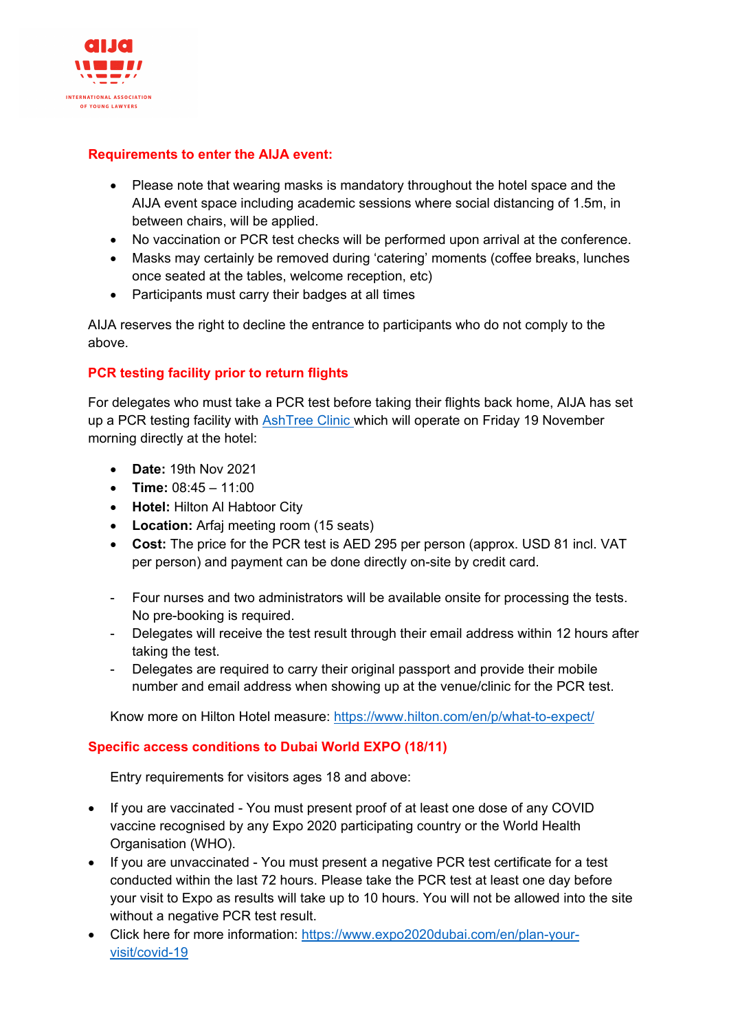

#### **Requirements to enter the AIJA event:**

- Please note that wearing masks is mandatory throughout the hotel space and the AIJA event space including academic sessions where social distancing of 1.5m, in between chairs, will be applied.
- No vaccination or PCR test checks will be performed upon arrival at the conference.
- Masks may certainly be removed during 'catering' moments (coffee breaks, lunches once seated at the tables, welcome reception, etc)
- Participants must carry their badges at all times

AIJA reserves the right to decline the entrance to participants who do not comply to the above.

### **PCR testing facility prior to return flights**

For delegates who must take a PCR test before taking their flights back home, AIJA has set up a PCR testing facility with **[AshTree Clinic](http://www.ashtree.ae/) which will operate on Friday 19 November** morning directly at the hotel:

- **Date:** 19th Nov 2021
- **Time:** 08:45 11:00
- **Hotel:** Hilton Al Habtoor City
- **Location:** Arfaj meeting room (15 seats)
- **Cost:** The price for the PCR test is AED 295 per person (approx. USD 81 incl. VAT per person) and payment can be done directly on-site by credit card.
- Four nurses and two administrators will be available onsite for processing the tests. No pre-booking is required.
- Delegates will receive the test result through their email address within 12 hours after taking the test.
- Delegates are required to carry their original passport and provide their mobile number and email address when showing up at the venue/clinic for the PCR test.

Know more on Hilton Hotel measure:<https://www.hilton.com/en/p/what-to-expect/>

#### **Specific access conditions to Dubai World EXPO (18/11)**

Entry requirements for visitors ages 18 and above:

- If you are vaccinated You must present proof of at least one dose of any COVID vaccine recognised by any Expo 2020 participating country or the World Health Organisation (WHO).
- If you are unvaccinated You must present a negative PCR test certificate for a test conducted within the last 72 hours. Please take the PCR test at least one day before your visit to Expo as results will take up to 10 hours. You will not be allowed into the site without a negative PCR test result.
- Click here for more information: [https://www.expo2020dubai.com/en/plan-your](https://www.expo2020dubai.com/en/plan-your-visit/covid-19)[visit/covid-19](https://www.expo2020dubai.com/en/plan-your-visit/covid-19)